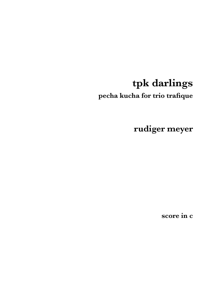# tpk darlings

pecha kucha for trio trafique

rudiger meyer

score in c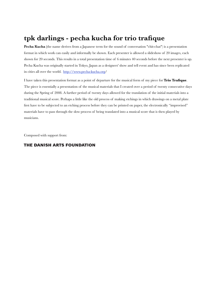### **tpk darlings - pecha kucha for trio trafique**

**Pecha Kucha (**the name derives from a Japanese term for the sound of conversation "chit-chat") is a presentation format in which work can easily and informally be shown. Each presenter is allowed a slideshow of 20 images, each shown for 20 seconds. This results in a total presentation time of 6 minutes 40 seconds before the next presenter is up. Pecha Kucha was originally started in Tokyo, Japan as a designers' show and tell event and has since been replicated in cities all over the world. <http://www.pecha-kucha.org>/

I have taken this presentation format as a point of departure for the musical form of my piece for **Trio Trafique**. The piece is essentially a presentation of the musical materials that I created over a period of twenty consecutive days during the Spring of 2008. A further period of twenty days allowed for the translation of the initial materials into a traditional musical score. Perhaps a little like the old process of making etchings in which drawings on a metal plate first have to be subjected to an etching process before they can be printed on paper, the electronically "improvised" materials have to pass through the slow process of being translated into a musical score that is then played by musicians.

Composed with support from:

#### THE DANISH ARTS FOUNDATION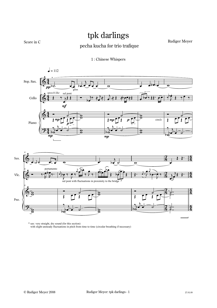## tpk darlings

Score in C

#### pecha kucha for trio trafique

Rudiger Meyer





\* sax: very straight, dry sound (for this section) with slight unsteady fluctuations in pitch from time to time (circular breathing if necessary)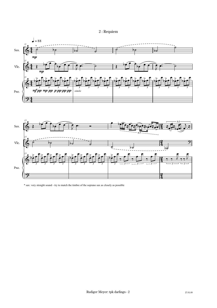



\* sax: very straight sound - try to match the timbre of the soprano sax as closely as possible

 $\frac{2}{4}$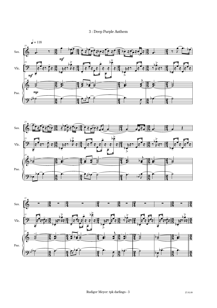





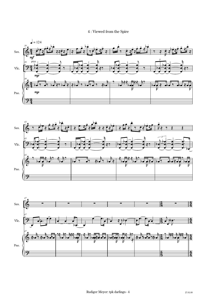#### 4 : Viewed from the Spire

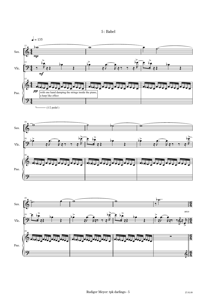

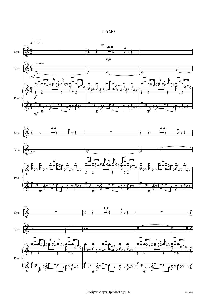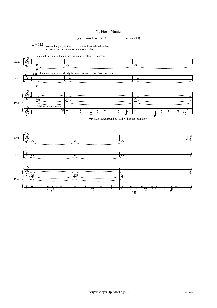#### 7 : Fjord Music

#### (as if you have all the time in the world)

 $= 112$ (overall slightly detuned overtone rich sound - whale like, cello and sax blending as much as possible)

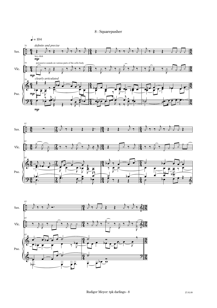#### 8 : Squarepusher





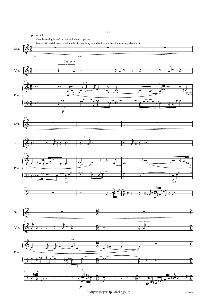

Rudiger Meyer: tpk darlings - 9 27.01.09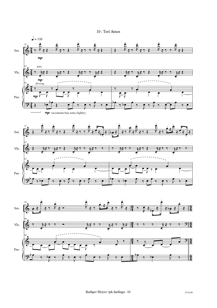

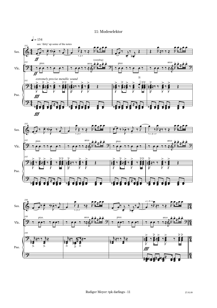

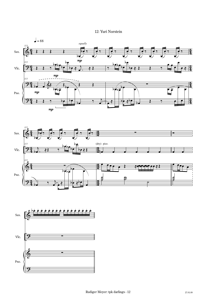





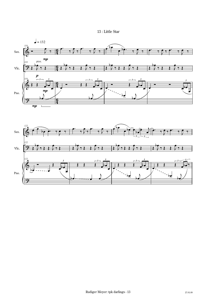#### 13 : Little Star

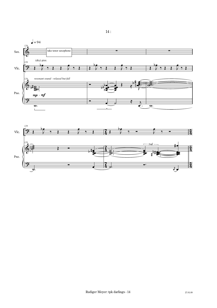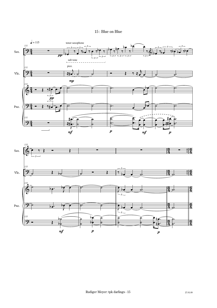

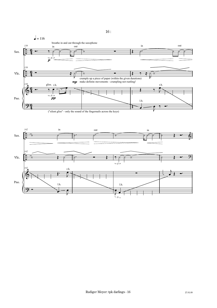

 $16:$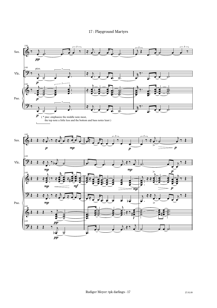#### 17: Playground Martyrs

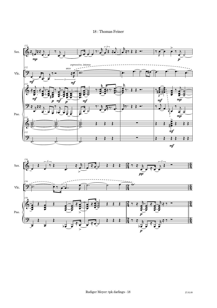

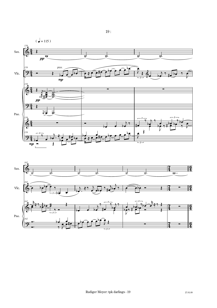